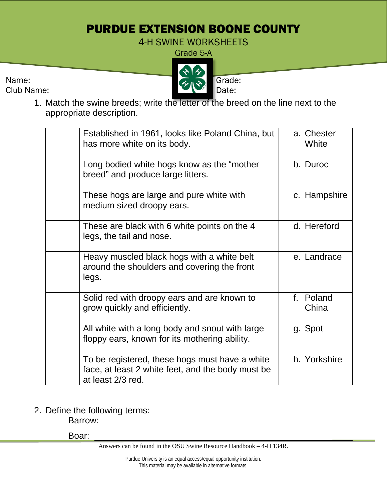## PURDUE EXTENSION BOONE COUNTY

4-H SWINE WORKSHEETS

Grade 5-A

Name: Grade: Club Name: Date:

1. Match the swine breeds; write the letter of the breed on the line next to the appropriate description.

| Established in 1961, looks like Poland China, but<br>has more white on its body.                                         | a. Chester<br>White |
|--------------------------------------------------------------------------------------------------------------------------|---------------------|
| Long bodied white hogs know as the "mother<br>breed" and produce large litters.                                          | b. Duroc            |
| These hogs are large and pure white with<br>medium sized droopy ears.                                                    | c. Hampshire        |
| These are black with 6 white points on the 4<br>legs, the tail and nose.                                                 | d. Hereford         |
| Heavy muscled black hogs with a white belt<br>around the shoulders and covering the front<br>legs.                       | e. Landrace         |
| Solid red with droopy ears and are known to<br>grow quickly and efficiently.                                             | f. Poland<br>China  |
| All white with a long body and snout with large<br>floppy ears, known for its mothering ability.                         | g. Spot             |
| To be registered, these hogs must have a white<br>face, at least 2 white feet, and the body must be<br>at least 2/3 red. | h. Yorkshire        |

2. Define the following terms:

Barrow:

Boar:

Answers can be found in the OSU Swine Resource Handbook – 4-H 134R.